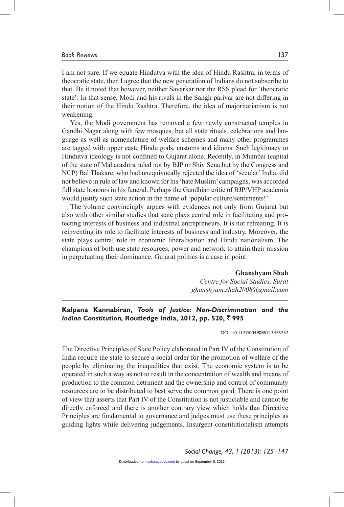I am not sure. If we equate Hindutva with the idea of Hindu Rashtra, in terms of theocratic state, then I agree that the new generation of Indians do not subscribe to that. Be it noted that however, neither Savarkar nor the RSS plead for 'theocratic state'. In that sense, Modi and his rivals in the Sangh parivar are not differing in their notion of the Hindu Rashtra. Therefore, the idea of majoritarianism is not weakening.

Yes, the Modi government has removed a few newly constructed temples in Gandhi Nagar along with few mosques, but all state rituals, celebrations and language as well as nomenclature of welfare schemes and many other programmes are tagged with upper caste Hindu gods, customs and idioms. Such legitimacy to Hindutva ideology is not confined to Gujarat alone. Recently, in Mumbai (capital of the state of Maharashtra ruled not by BJP or Shiv Sena but by the Congress and NCP) Bal Thakare, who had unequivocally rejected the idea of 'secular' India, did not believe in rule of law and known for his 'hate Muslim' campaigns, was accorded full state honours in his funeral. Perhaps the Gandhian critic of BJP/VHP academia would justify such state action in the name of 'popular culture/sentiments!'

The volume convincingly argues with evidences not only from Gujarat but also with other similar studies that state plays central role in facilitating and protecting interests of business and industrial entrepreneurs. It is not retreating. It is reinventing its role to facilitate interests of business and industry. Moreover, the state plays central role in economic liberalisation and Hindu nationalism. The champions of both use state resources, power and network to attain their mission in perpetuating their dominance. Gujarat politics is a case in point.

**Ghanshyam Shah**

*Centre for Social Studies, Surat ghanshyam.shah2008@gmail.com*

## **Kalpana Kannabiran,** *Tools of Justice: Non-Discrimination and the Indian Constitution,* **Routledge India, 2012, pp. 520,** ` **995**

DOI: 10.1177/0049085713475737

The Directive Principles of State Policy elaborated in Part IV of the Constitution of India require the state to secure a social order for the promotion of welfare of the people by eliminating the inequalities that exist. The economic system is to be operated in such a way as not to result in the concentration of wealth and means of production to the common detriment and the ownership and control of community resources are to be distributed to best serve the common good. There is one point of view that asserts that Part IV of the Constitution is not justiciable and cannot be directly enforced and there is another contrary view which holds that Directive Principles are fundamental to governance and judges must use these principles as guiding lights while delivering judgements. Insurgent constitutionalism attempts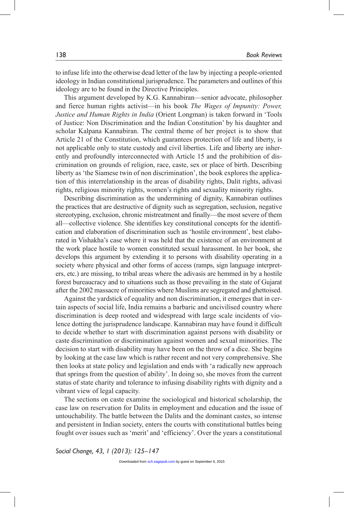to infuse life into the otherwise dead letter of the law by injecting a people-oriented ideology in Indian constitutional jurisprudence. The parameters and outlines of this ideology are to be found in the Directive Principles.

This argument developed by K.G. Kannabiran—senior advocate, philosopher and fierce human rights activist—in his book *The Wages of Impunity: Power, Justice and Human Rights in India* (Orient Longman) is taken forward in 'Tools of Justice: Non Discrimination and the Indian Constitution' by his daughter and scholar Kalpana Kannabiran. The central theme of her project is to show that Article 21 of the Constitution, which guarantees protection of life and liberty, is not applicable only to state custody and civil liberties. Life and liberty are inherently and profoundly interconnected with Article 15 and the prohibition of discrimination on grounds of religion, race, caste, sex or place of birth. Describing liberty as 'the Siamese twin of non discrimination', the book explores the application of this interrelationship in the areas of disability rights, Dalit rights, adivasi rights, religious minority rights, women's rights and sexuality minority rights.

Describing discrimination as the undermining of dignity, Kannabiran outlines the practices that are destructive of dignity such as segregation, seclusion, negative stereotyping, exclusion, chronic mistreatment and finally—the most severe of them all—collective violence. She identifies key constitutional concepts for the identification and elaboration of discrimination such as 'hostile environment', best elaborated in Vishakha's case where it was held that the existence of an environment at the work place hostile to women constituted sexual harassment. In her book, she develops this argument by extending it to persons with disability operating in a society where physical and other forms of access (ramps, sign language interpreters, etc.) are missing, to tribal areas where the adivasis are hemmed in by a hostile forest bureaucracy and to situations such as those prevailing in the state of Gujarat after the 2002 massacre of minorities where Muslims are segregated and ghettoised.

Against the yardstick of equality and non discrimination, it emerges that in certain aspects of social life, India remains a barbaric and uncivilised country where discrimination is deep rooted and widespread with large scale incidents of violence dotting the jurisprudence landscape. Kannabiran may have found it difficult to decide whether to start with discrimination against persons with disability or caste discrimination or discrimination against women and sexual minorities. The decision to start with disability may have been on the throw of a dice. She begins by looking at the case law which is rather recent and not very comprehensive. She then looks at state policy and legislation and ends with 'a radically new approach that springs from the question of ability'. In doing so, she moves from the current status of state charity and tolerance to infusing disability rights with dignity and a vibrant view of legal capacity.

The sections on caste examine the sociological and historical scholarship, the case law on reservation for Dalits in employment and education and the issue of untouchability. The battle between the Dalits and the dominant castes, so intense and persistent in Indian society, enters the courts with constitutional battles being fought over issues such as 'merit' and 'efficiency'. Over the years a constitutional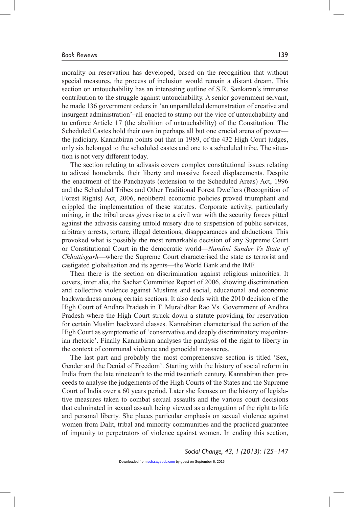morality on reservation has developed, based on the recognition that without special measures, the process of inclusion would remain a distant dream. This section on untouchability has an interesting outline of S.R. Sankaran's immense contribution to the struggle against untouchability. A senior government servant, he made 136 government orders in 'an unparalleled demonstration of creative and insurgent administration'–all enacted to stamp out the vice of untouchability and to enforce Article 17 (the abolition of untouchability) of the Constitution. The Scheduled Castes hold their own in perhaps all but one crucial arena of power the judiciary. Kannabiran points out that in 1989, of the 432 High Court judges, only six belonged to the scheduled castes and one to a scheduled tribe. The situation is not very different today.

The section relating to adivasis covers complex constitutional issues relating to adivasi homelands, their liberty and massive forced displacements. Despite the enactment of the Panchayats (extension to the Scheduled Areas) Act, 1996 and the Scheduled Tribes and Other Traditional Forest Dwellers (Recognition of Forest Rights) Act, 2006, neoliberal economic policies proved triumphant and crippled the implementation of these statutes. Corporate activity, particularly mining, in the tribal areas gives rise to a civil war with the security forces pitted against the adivasis causing untold misery due to suspension of public services, arbitrary arrests, torture, illegal detentions, disappearances and abductions. This provoked what is possibly the most remarkable decision of any Supreme Court or Constitutional Court in the democratic world—*Nandini Sunder Vs State of Chhattisgarh*—where the Supreme Court characterised the state as terrorist and castigated globalisation and its agents—the World Bank and the IMF.

Then there is the section on discrimination against religious minorities. It covers, inter alia, the Sachar Committee Report of 2006, showing discrimination and collective violence against Muslims and social, educational and economic backwardness among certain sections. It also deals with the 2010 decision of the High Court of Andhra Pradesh in T. Muralidhar Rao Vs. Government of Andhra Pradesh where the High Court struck down a statute providing for reservation for certain Muslim backward classes. Kannabiran characterised the action of the High Court as symptomatic of 'conservative and deeply discriminatory majoritarian rhetoric'. Finally Kannabiran analyses the paralysis of the right to liberty in the context of communal violence and genocidal massacres.

The last part and probably the most comprehensive section is titled 'Sex, Gender and the Denial of Freedom'. Starting with the history of social reform in India from the late nineteenth to the mid twentieth century, Kannabiran then proceeds to analyse the judgements of the High Courts of the States and the Supreme Court of India over a 60 years period. Later she focuses on the history of legislative measures taken to combat sexual assaults and the various court decisions that culminated in sexual assault being viewed as a derogation of the right to life and personal liberty. She places particular emphasis on sexual violence against women from Dalit, tribal and minority communities and the practiced guarantee of impunity to perpetrators of violence against women. In ending this section,